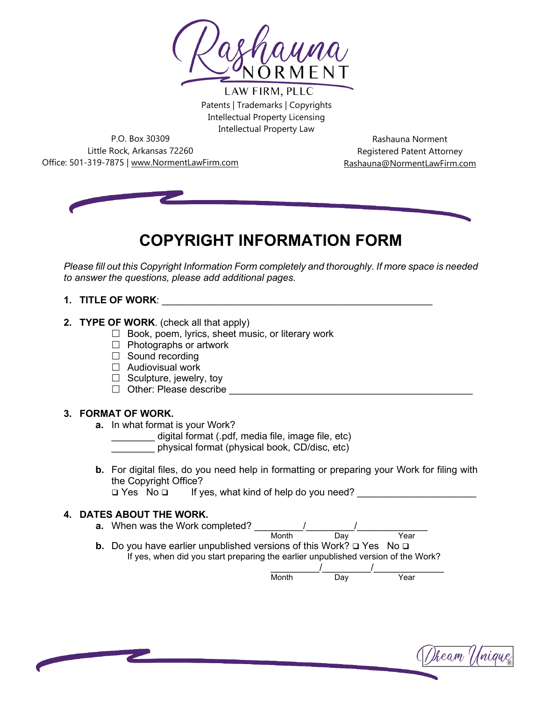

LAW FIRM, PLLC Patents | Trademarks | Copyrights Intellectual Property Licensing Intellectual Property Law

P.O. Box 30309 Little Rock, Arkansas 72260 Office: 501-319-7875 | www.NormentLawFirm.com

Rashauna Norment Registered Patent Attorney Rashauna@NormentLawFirm.com



# **COPYRIGHT INFORMATION FORM**

*Please fill out this Copyright Information Form completely and thoroughly. If more space is needed to answer the questions, please add additional pages.* 

## **1. TITLE OF WORK**: \_\_\_\_\_\_\_\_\_\_\_\_\_\_\_\_\_\_\_\_\_\_\_\_\_\_\_\_\_\_\_\_\_\_\_\_\_\_\_\_\_\_\_\_\_\_\_\_\_\_

- **2. TYPE OF WORK**. (check all that apply)
	- $\Box$  Book, poem, lyrics, sheet music, or literary work
	- $\Box$  Photographs or artwork
	- $\Box$  Sound recording
	- $\Box$  Audiovisual work
	- $\Box$  Sculpture, jewelry, toy
	- $\Box$  Other: Please describe

#### **3. FORMAT OF WORK.**

- **a.** In what format is your Work?
	- \_\_\_\_\_\_\_\_ digital format (.pdf, media file, image file, etc)
	- \_\_\_\_\_\_\_\_ physical format (physical book, CD/disc, etc)
- **b.** For digital files, do you need help in formatting or preparing your Work for filing with the Copyright Office?<br> $\Box$  Yes No  $\Box$  If ve

If yes, what kind of help do you need?

### **4. DATES ABOUT THE WORK.**

**a.** When was the Work completed? \_\_\_\_\_\_\_\_\_/\_\_\_\_\_\_\_\_\_/\_\_\_\_\_\_\_\_\_\_\_\_\_ Month Day Year **b.** Do you have earlier unpublished versions of this Work?  $\Box$  Yes No  $\Box$ 

If yes, when did you start preparing the earlier unpublished version of the Work?

| Month | וובו<br>υaγ | Year |
|-------|-------------|------|

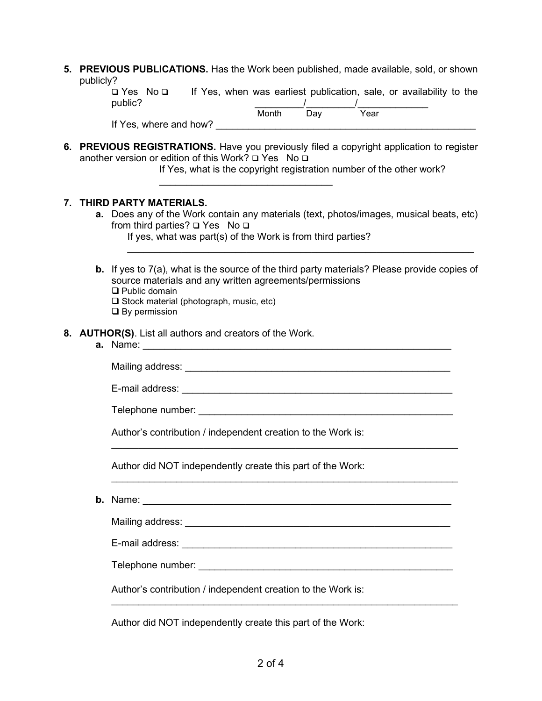| 5. PREVIOUS PUBLICATIONS. Has the Work been published, made available, sold, or shown |  |
|---------------------------------------------------------------------------------------|--|
| publicly?                                                                             |  |

| □ Yes No □             |  |       | If Yes, when was earliest publication, sale, or availability to the |      |  |  |
|------------------------|--|-------|---------------------------------------------------------------------|------|--|--|
| public?                |  |       |                                                                     |      |  |  |
|                        |  | Month | Dav                                                                 | Year |  |  |
| If Yes, where and how? |  |       |                                                                     |      |  |  |

**6. PREVIOUS REGISTRATIONS.** Have you previously filed a copyright application to register another version or edition of this Work?  $\square$  Yes No  $\square$ 

If Yes, what is the copyright registration number of the other work?

#### **7. THIRD PARTY MATERIALS.**

**a.** Does any of the Work contain any materials (text, photos/images, musical beats, etc) from third parties?  $\square$  Yes No  $\square$ 

\_\_\_\_\_\_\_\_\_\_\_\_\_\_\_\_\_\_\_\_\_\_\_\_\_\_\_\_\_\_\_\_\_\_\_\_\_\_\_\_\_\_\_\_\_\_\_\_\_\_\_\_\_\_\_\_\_\_\_\_\_\_\_\_

If yes, what was part(s) of the Work is from third parties?

 $\overline{\phantom{a}}$  , and the set of the set of the set of the set of the set of the set of the set of the set of the set of the set of the set of the set of the set of the set of the set of the set of the set of the set of the s

- **b.** If yes to 7(a), what is the source of the third party materials? Please provide copies of source materials and any written agreements/permissions □ Public domain □ Stock material (photograph, music, etc)
	- $\square$  By permission

#### **8. AUTHOR(S)**. List all authors and creators of the Work.

**a.** Name:

Mailing address: \_\_\_\_\_\_\_\_\_\_\_\_\_\_\_\_\_\_\_\_\_\_\_\_\_\_\_\_\_\_\_\_\_\_\_\_\_\_\_\_\_\_\_\_\_\_\_\_\_

E-mail address: \_\_\_\_\_\_\_\_\_\_\_\_\_\_\_\_\_\_\_\_\_\_\_\_\_\_\_\_\_\_\_\_\_\_\_\_\_\_\_\_\_\_\_\_\_\_\_\_\_\_

 $\frac{1}{2}$  ,  $\frac{1}{2}$  ,  $\frac{1}{2}$  ,  $\frac{1}{2}$  ,  $\frac{1}{2}$  ,  $\frac{1}{2}$  ,  $\frac{1}{2}$  ,  $\frac{1}{2}$  ,  $\frac{1}{2}$  ,  $\frac{1}{2}$  ,  $\frac{1}{2}$  ,  $\frac{1}{2}$  ,  $\frac{1}{2}$  ,  $\frac{1}{2}$  ,  $\frac{1}{2}$  ,  $\frac{1}{2}$  ,  $\frac{1}{2}$  ,  $\frac{1}{2}$  ,  $\frac{1$ 

 $\frac{1}{2}$  ,  $\frac{1}{2}$  ,  $\frac{1}{2}$  ,  $\frac{1}{2}$  ,  $\frac{1}{2}$  ,  $\frac{1}{2}$  ,  $\frac{1}{2}$  ,  $\frac{1}{2}$  ,  $\frac{1}{2}$  ,  $\frac{1}{2}$  ,  $\frac{1}{2}$  ,  $\frac{1}{2}$  ,  $\frac{1}{2}$  ,  $\frac{1}{2}$  ,  $\frac{1}{2}$  ,  $\frac{1}{2}$  ,  $\frac{1}{2}$  ,  $\frac{1}{2}$  ,  $\frac{1$ 

 $\_$  , and the set of the set of the set of the set of the set of the set of the set of the set of the set of the set of the set of the set of the set of the set of the set of the set of the set of the set of the set of th

Telephone number: \_\_\_\_\_\_\_\_\_\_\_\_\_\_\_\_\_\_\_\_\_\_\_\_\_\_\_\_\_\_\_\_\_\_\_\_\_\_\_\_\_\_\_\_\_\_\_

Author's contribution / independent creation to the Work is:

Author did NOT independently create this part of the Work:

**b.** Name:  $\frac{1}{2}$  Name:  $\frac{1}{2}$  and  $\frac{1}{2}$  and  $\frac{1}{2}$  and  $\frac{1}{2}$  and  $\frac{1}{2}$  and  $\frac{1}{2}$  and  $\frac{1}{2}$  and  $\frac{1}{2}$  and  $\frac{1}{2}$  and  $\frac{1}{2}$  and  $\frac{1}{2}$  and  $\frac{1}{2}$  and  $\frac{1}{2}$  and  $\frac{1}{2}$  and

Mailing address: \_\_\_\_\_\_\_\_\_\_\_\_\_\_\_\_\_\_\_\_\_\_\_\_\_\_\_\_\_\_\_\_\_\_\_\_\_\_\_\_\_\_\_\_\_\_\_\_\_

E-mail address: \_\_\_\_\_\_\_\_\_\_\_\_\_\_\_\_\_\_\_\_\_\_\_\_\_\_\_\_\_\_\_\_\_\_\_\_\_\_\_\_\_\_\_\_\_\_\_\_\_\_

Telephone number: **with a set of the set of the set of the set of the set of the set of the set of the set of the set of the set of the set of the set of the set of the set of the set of the set of the set of the set of th** 

Author's contribution / independent creation to the Work is:

Author did NOT independently create this part of the Work: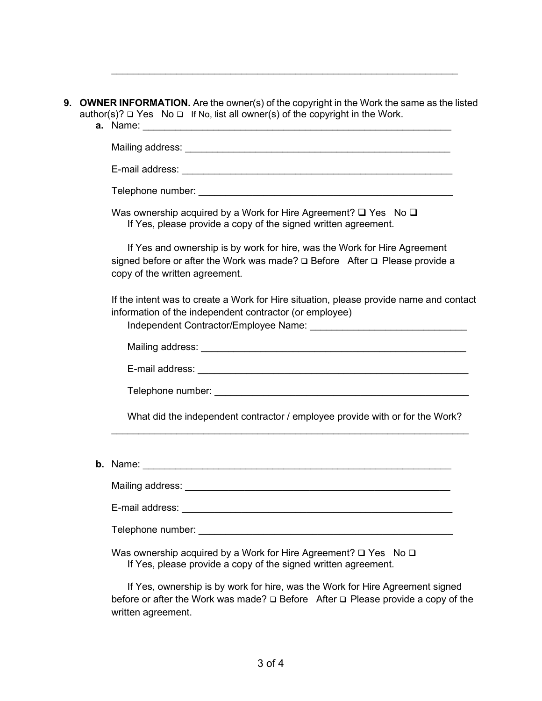|                 | <b>9. OWNER INFORMATION.</b> Are the owner(s) of the copyright in the Work the same as the listed |
|-----------------|---------------------------------------------------------------------------------------------------|
|                 | author(s)? $\Box$ Yes No $\Box$ If No, list all owner(s) of the copyright in the Work.            |
| <b>a.</b> Name: |                                                                                                   |

Mailing address: \_\_\_\_\_\_\_\_\_\_\_\_\_\_\_\_\_\_\_\_\_\_\_\_\_\_\_\_\_\_\_\_\_\_\_\_\_\_\_\_\_\_\_\_\_\_\_\_\_

 $\mathcal{L}_\text{max} = \mathcal{L}_\text{max} = \mathcal{L}_\text{max} = \mathcal{L}_\text{max} = \mathcal{L}_\text{max} = \mathcal{L}_\text{max} = \mathcal{L}_\text{max} = \mathcal{L}_\text{max} = \mathcal{L}_\text{max} = \mathcal{L}_\text{max} = \mathcal{L}_\text{max} = \mathcal{L}_\text{max} = \mathcal{L}_\text{max} = \mathcal{L}_\text{max} = \mathcal{L}_\text{max} = \mathcal{L}_\text{max} = \mathcal{L}_\text{max} = \mathcal{L}_\text{max} = \mathcal{$ 

E-mail address: \_\_\_\_\_\_\_\_\_\_\_\_\_\_\_\_\_\_\_\_\_\_\_\_\_\_\_\_\_\_\_\_\_\_\_\_\_\_\_\_\_\_\_\_\_\_\_\_\_\_

Telephone number:  $\blacksquare$ 

Was ownership acquired by a Work for Hire Agreement?  $\Box$  Yes No  $\Box$ If Yes, please provide a copy of the signed written agreement.

If Yes and ownership is by work for hire, was the Work for Hire Agreement signed before or after the Work was made?  $\square$  Before After  $\square$  Please provide a copy of the written agreement.

If the intent was to create a Work for Hire situation, please provide name and contact information of the independent contractor (or employee)

Independent Contractor/Employee Name:

Mailing address: \_\_\_\_\_\_\_\_\_\_\_\_\_\_\_\_\_\_\_\_\_\_\_\_\_\_\_\_\_\_\_\_\_\_\_\_\_\_\_\_\_\_\_\_\_\_\_\_\_

E-mail address: **E-mail address: E-mail address: E-mail address: E-mail address: E-mail address: E-mail address: E-mail address: E-mail address: E-mail address: E-mail address: E-mail address: E-mail** 

Telephone number: **with a set of the set of the set of the set of the set of the set of the set of the set of the set of the set of the set of the set of the set of the set of the set of the set of the set of the set of th** 

What did the independent contractor / employee provide with or for the Work?

 $\mathcal{L}_\mathcal{L} = \{ \mathcal{L}_\mathcal{L} = \{ \mathcal{L}_\mathcal{L} = \{ \mathcal{L}_\mathcal{L} = \{ \mathcal{L}_\mathcal{L} = \{ \mathcal{L}_\mathcal{L} = \{ \mathcal{L}_\mathcal{L} = \{ \mathcal{L}_\mathcal{L} = \{ \mathcal{L}_\mathcal{L} = \{ \mathcal{L}_\mathcal{L} = \{ \mathcal{L}_\mathcal{L} = \{ \mathcal{L}_\mathcal{L} = \{ \mathcal{L}_\mathcal{L} = \{ \mathcal{L}_\mathcal{L} = \{ \mathcal{L}_\mathcal{$ 

**b.** Name: \_\_\_\_\_\_\_\_\_\_\_\_\_\_\_\_\_\_\_\_\_\_\_\_\_\_\_\_\_\_\_\_\_\_\_\_\_\_\_\_\_\_\_\_\_\_\_\_\_\_\_\_\_\_\_\_\_

Mailing address: \_\_\_\_\_\_\_\_\_\_\_\_\_\_\_\_\_\_\_\_\_\_\_\_\_\_\_\_\_\_\_\_\_\_\_\_\_\_\_\_\_\_\_\_\_\_\_\_\_

E-mail address: \_\_\_\_\_\_\_\_\_\_\_\_\_\_\_\_\_\_\_\_\_\_\_\_\_\_\_\_\_\_\_\_\_\_\_\_\_\_\_\_\_\_\_\_\_\_\_\_\_\_

Telephone number:  $\blacksquare$ 

Was ownership acquired by a Work for Hire Agreement?  $\square$  Yes No  $\square$ If Yes, please provide a copy of the signed written agreement.

If Yes, ownership is by work for hire, was the Work for Hire Agreement signed before or after the Work was made?  $\Box$  Before After  $\Box$  Please provide a copy of the written agreement.